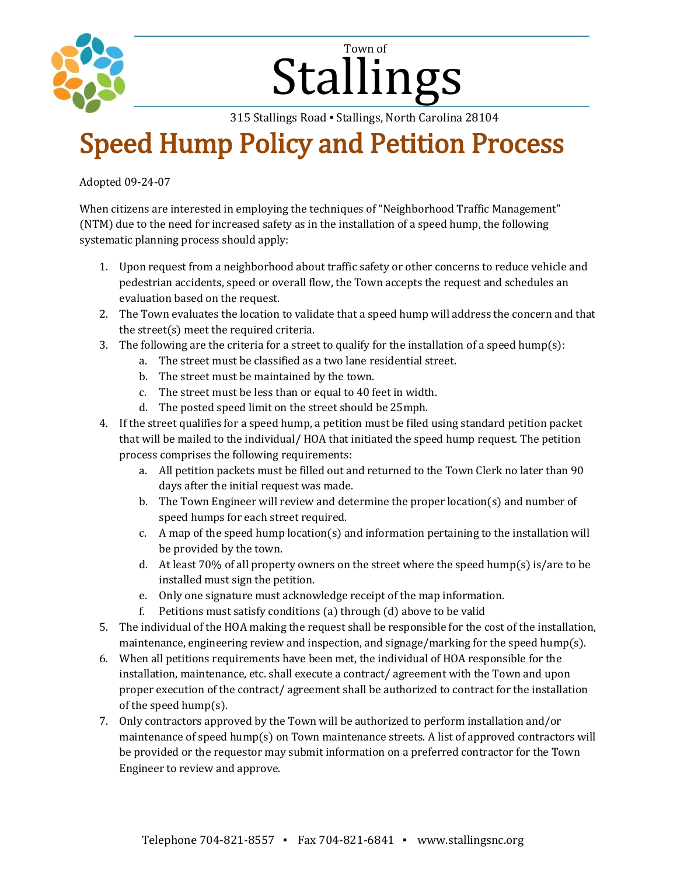

## Stallings Town of

315 Stallings Road ▪ Stallings, North Carolina 28104

## Speed Hump Policy and Petition Process

Adopted 09-24-07

When citizens are interested in employing the techniques of "Neighborhood Traffic Management" (NTM) due to the need for increased safety as in the installation of a speed hump, the following systematic planning process should apply:

- 1. Upon request from a neighborhood about traffic safety or other concerns to reduce vehicle and pedestrian accidents, speed or overall flow, the Town accepts the request and schedules an evaluation based on the request.
- 2. The Town evaluates the location to validate that a speed hump will address the concern and that the street(s) meet the required criteria.
- 3. The following are the criteria for a street to qualify for the installation of a speed hump(s):
	- a. The street must be classified as a two lane residential street.
		- b. The street must be maintained by the town.
		- c. The street must be less than or equal to 40 feet in width.
		- d. The posted speed limit on the street should be 25mph.
- 4. If the street qualifies for a speed hump, a petition must be filed using standard petition packet that will be mailed to the individual/ HOA that initiated the speed hump request. The petition process comprises the following requirements:
	- a. All petition packets must be filled out and returned to the Town Clerk no later than 90 days after the initial request was made.
	- b. The Town Engineer will review and determine the proper location(s) and number of speed humps for each street required.
	- c. A map of the speed hump location(s) and information pertaining to the installation will be provided by the town.
	- d. At least 70% of all property owners on the street where the speed hump(s) is/are to be installed must sign the petition.
	- e. Only one signature must acknowledge receipt of the map information.
	- f. Petitions must satisfy conditions (a) through (d) above to be valid
- 5. The individual of the HOA making the request shall be responsible for the cost of the installation, maintenance, engineering review and inspection, and signage/marking for the speed hump(s).
- 6. When all petitions requirements have been met, the individual of HOA responsible for the installation, maintenance, etc. shall execute a contract/ agreement with the Town and upon proper execution of the contract/ agreement shall be authorized to contract for the installation of the speed hump(s).
- 7. Only contractors approved by the Town will be authorized to perform installation and/or maintenance of speed hump(s) on Town maintenance streets. A list of approved contractors will be provided or the requestor may submit information on a preferred contractor for the Town Engineer to review and approve.